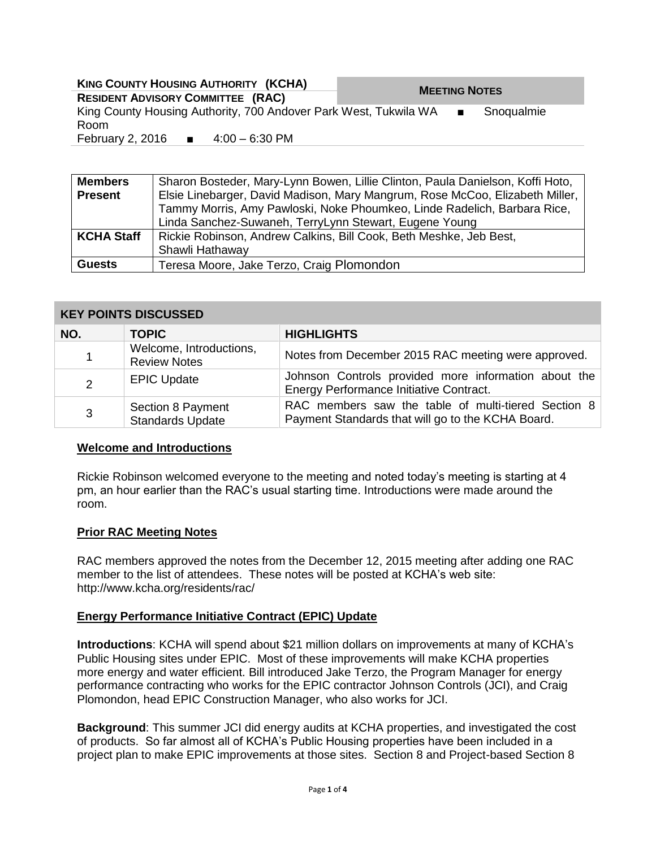| <b>KING COUNTY HOUSING AUTHORITY (KCHA)</b>    |  |                                                                    |                      |  |            |
|------------------------------------------------|--|--------------------------------------------------------------------|----------------------|--|------------|
| <b>RESIDENT ADVISORY COMMITTEE (RAC)</b>       |  |                                                                    | <b>MEETING NOTES</b> |  |            |
| Room                                           |  | King County Housing Authority, 700 Andover Park West, Tukwila WA ■ |                      |  | Snoqualmie |
| February 2, 2016 $\blacksquare$ 4:00 – 6:30 PM |  |                                                                    |                      |  |            |
|                                                |  |                                                                    |                      |  |            |

| <b>Members</b>    | Sharon Bosteder, Mary-Lynn Bowen, Lillie Clinton, Paula Danielson, Koffi Hoto, |  |  |  |  |  |
|-------------------|--------------------------------------------------------------------------------|--|--|--|--|--|
| <b>Present</b>    | Elsie Linebarger, David Madison, Mary Mangrum, Rose McCoo, Elizabeth Miller,   |  |  |  |  |  |
|                   | Tammy Morris, Amy Pawloski, Noke Phoumkeo, Linde Radelich, Barbara Rice,       |  |  |  |  |  |
|                   | Linda Sanchez-Suwaneh, TerryLynn Stewart, Eugene Young                         |  |  |  |  |  |
| <b>KCHA Staff</b> | Rickie Robinson, Andrew Calkins, Bill Cook, Beth Meshke, Jeb Best,             |  |  |  |  |  |
|                   | Shawli Hathaway                                                                |  |  |  |  |  |
| <b>Guests</b>     | Teresa Moore, Jake Terzo, Craig Plomondon                                      |  |  |  |  |  |

### **KEY POINTS DISCUSSED**

| NO. | <b>TOPIC</b>                                   | <b>HIGHLIGHTS</b>                                                                                        |
|-----|------------------------------------------------|----------------------------------------------------------------------------------------------------------|
|     | Welcome, Introductions,<br><b>Review Notes</b> | Notes from December 2015 RAC meeting were approved.                                                      |
| 2   | <b>EPIC Update</b>                             | Johnson Controls provided more information about the<br>Energy Performance Initiative Contract.          |
| 3   | Section 8 Payment<br><b>Standards Update</b>   | RAC members saw the table of multi-tiered Section 8<br>Payment Standards that will go to the KCHA Board. |

#### **Welcome and Introductions**

Rickie Robinson welcomed everyone to the meeting and noted today's meeting is starting at 4 pm, an hour earlier than the RAC's usual starting time. Introductions were made around the room.

#### **Prior RAC Meeting Notes**

RAC members approved the notes from the December 12, 2015 meeting after adding one RAC member to the list of attendees. These notes will be posted at KCHA's web site: http://www.kcha.org/residents/rac/

### **Energy Performance Initiative Contract (EPIC) Update**

**Introductions**: KCHA will spend about \$21 million dollars on improvements at many of KCHA's Public Housing sites under EPIC. Most of these improvements will make KCHA properties more energy and water efficient. Bill introduced Jake Terzo, the Program Manager for energy performance contracting who works for the EPIC contractor Johnson Controls (JCI), and Craig Plomondon, head EPIC Construction Manager, who also works for JCI.

**Background**: This summer JCI did energy audits at KCHA properties, and investigated the cost of products. So far almost all of KCHA's Public Housing properties have been included in a project plan to make EPIC improvements at those sites. Section 8 and Project-based Section 8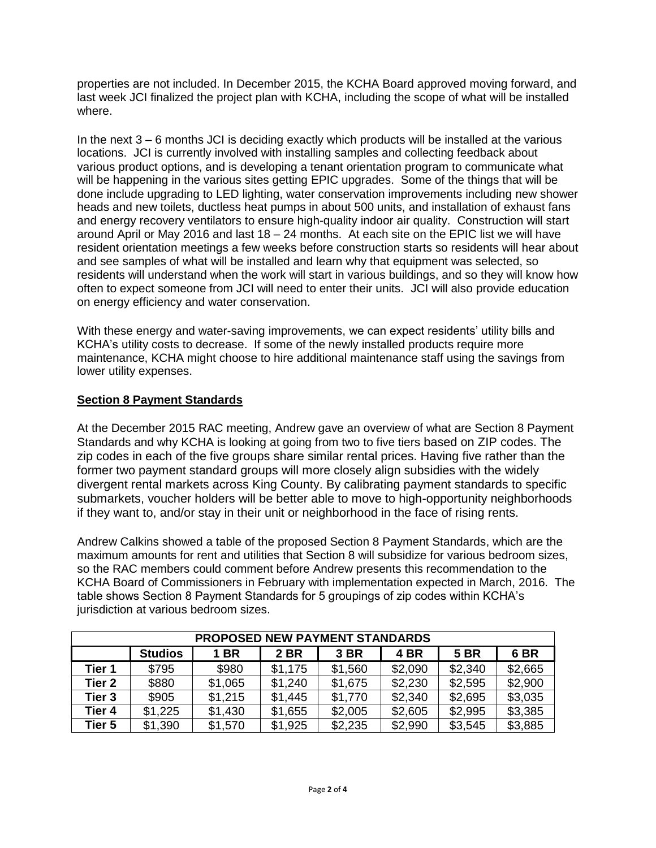properties are not included. In December 2015, the KCHA Board approved moving forward, and last week JCI finalized the project plan with KCHA, including the scope of what will be installed where.

In the next 3 – 6 months JCI is deciding exactly which products will be installed at the various locations. JCI is currently involved with installing samples and collecting feedback about various product options, and is developing a tenant orientation program to communicate what will be happening in the various sites getting EPIC upgrades. Some of the things that will be done include upgrading to LED lighting, water conservation improvements including new shower heads and new toilets, ductless heat pumps in about 500 units, and installation of exhaust fans and energy recovery ventilators to ensure high-quality indoor air quality. Construction will start around April or May 2016 and last 18 – 24 months. At each site on the EPIC list we will have resident orientation meetings a few weeks before construction starts so residents will hear about and see samples of what will be installed and learn why that equipment was selected, so residents will understand when the work will start in various buildings, and so they will know how often to expect someone from JCI will need to enter their units. JCI will also provide education on energy efficiency and water conservation.

With these energy and water-saving improvements, we can expect residents' utility bills and KCHA's utility costs to decrease. If some of the newly installed products require more maintenance, KCHA might choose to hire additional maintenance staff using the savings from lower utility expenses.

### **Section 8 Payment Standards**

At the December 2015 RAC meeting, Andrew gave an overview of what are Section 8 Payment Standards and why KCHA is looking at going from two to five tiers based on ZIP codes. The zip codes in each of the five groups share similar rental prices. Having five rather than the former two payment standard groups will more closely align subsidies with the widely divergent rental markets across King County. By calibrating payment standards to specific submarkets, voucher holders will be better able to move to high-opportunity neighborhoods if they want to, and/or stay in their unit or neighborhood in the face of rising rents.

Andrew Calkins showed a table of the proposed Section 8 Payment Standards, which are the maximum amounts for rent and utilities that Section 8 will subsidize for various bedroom sizes, so the RAC members could comment before Andrew presents this recommendation to the KCHA Board of Commissioners in February with implementation expected in March, 2016. The table shows Section 8 Payment Standards for 5 groupings of zip codes within KCHA's jurisdiction at various bedroom sizes.

| <b>PROPOSED NEW PAYMENT STANDARDS</b> |                |             |         |         |         |             |                 |  |
|---------------------------------------|----------------|-------------|---------|---------|---------|-------------|-----------------|--|
|                                       | <b>Studios</b> | <b>1 BR</b> | 2 BR    | 3 BR    | 4 BR    | <b>5 BR</b> | 6 <sub>BR</sub> |  |
| Tier 1                                | \$795          | \$980       | \$1,175 | \$1,560 | \$2,090 | \$2,340     | \$2,665         |  |
| Tier <sub>2</sub>                     | \$880          | \$1,065     | \$1,240 | \$1,675 | \$2,230 | \$2,595     | \$2,900         |  |
| Tier <sub>3</sub>                     | \$905          | \$1,215     | \$1,445 | \$1,770 | \$2,340 | \$2,695     | \$3,035         |  |
| Tier 4                                | \$1,225        | \$1,430     | \$1,655 | \$2,005 | \$2,605 | \$2,995     | \$3,385         |  |
| Tier 5                                | \$1,390        | \$1,570     | \$1,925 | \$2,235 | \$2,990 | \$3,545     | \$3,885         |  |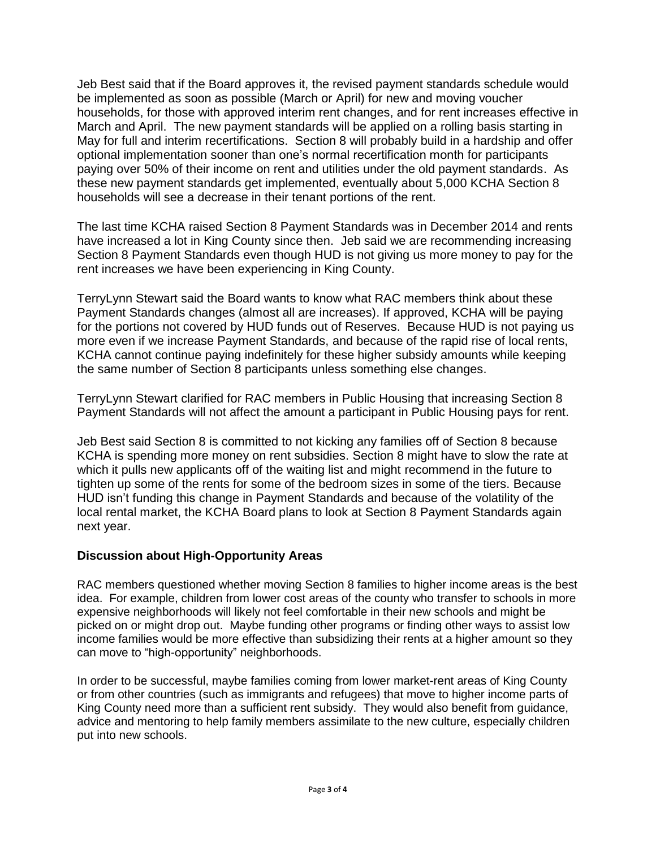Jeb Best said that if the Board approves it, the revised payment standards schedule would be implemented as soon as possible (March or April) for new and moving voucher households, for those with approved interim rent changes, and for rent increases effective in March and April. The new payment standards will be applied on a rolling basis starting in May for full and interim recertifications. Section 8 will probably build in a hardship and offer optional implementation sooner than one's normal recertification month for participants paying over 50% of their income on rent and utilities under the old payment standards. As these new payment standards get implemented, eventually about 5,000 KCHA Section 8 households will see a decrease in their tenant portions of the rent.

The last time KCHA raised Section 8 Payment Standards was in December 2014 and rents have increased a lot in King County since then. Jeb said we are recommending increasing Section 8 Payment Standards even though HUD is not giving us more money to pay for the rent increases we have been experiencing in King County.

TerryLynn Stewart said the Board wants to know what RAC members think about these Payment Standards changes (almost all are increases). If approved, KCHA will be paying for the portions not covered by HUD funds out of Reserves. Because HUD is not paying us more even if we increase Payment Standards, and because of the rapid rise of local rents, KCHA cannot continue paying indefinitely for these higher subsidy amounts while keeping the same number of Section 8 participants unless something else changes.

TerryLynn Stewart clarified for RAC members in Public Housing that increasing Section 8 Payment Standards will not affect the amount a participant in Public Housing pays for rent.

Jeb Best said Section 8 is committed to not kicking any families off of Section 8 because KCHA is spending more money on rent subsidies. Section 8 might have to slow the rate at which it pulls new applicants off of the waiting list and might recommend in the future to tighten up some of the rents for some of the bedroom sizes in some of the tiers. Because HUD isn't funding this change in Payment Standards and because of the volatility of the local rental market, the KCHA Board plans to look at Section 8 Payment Standards again next year.

# **Discussion about High-Opportunity Areas**

RAC members questioned whether moving Section 8 families to higher income areas is the best idea. For example, children from lower cost areas of the county who transfer to schools in more expensive neighborhoods will likely not feel comfortable in their new schools and might be picked on or might drop out. Maybe funding other programs or finding other ways to assist low income families would be more effective than subsidizing their rents at a higher amount so they can move to "high-opportunity" neighborhoods.

In order to be successful, maybe families coming from lower market-rent areas of King County or from other countries (such as immigrants and refugees) that move to higher income parts of King County need more than a sufficient rent subsidy. They would also benefit from guidance, advice and mentoring to help family members assimilate to the new culture, especially children put into new schools.